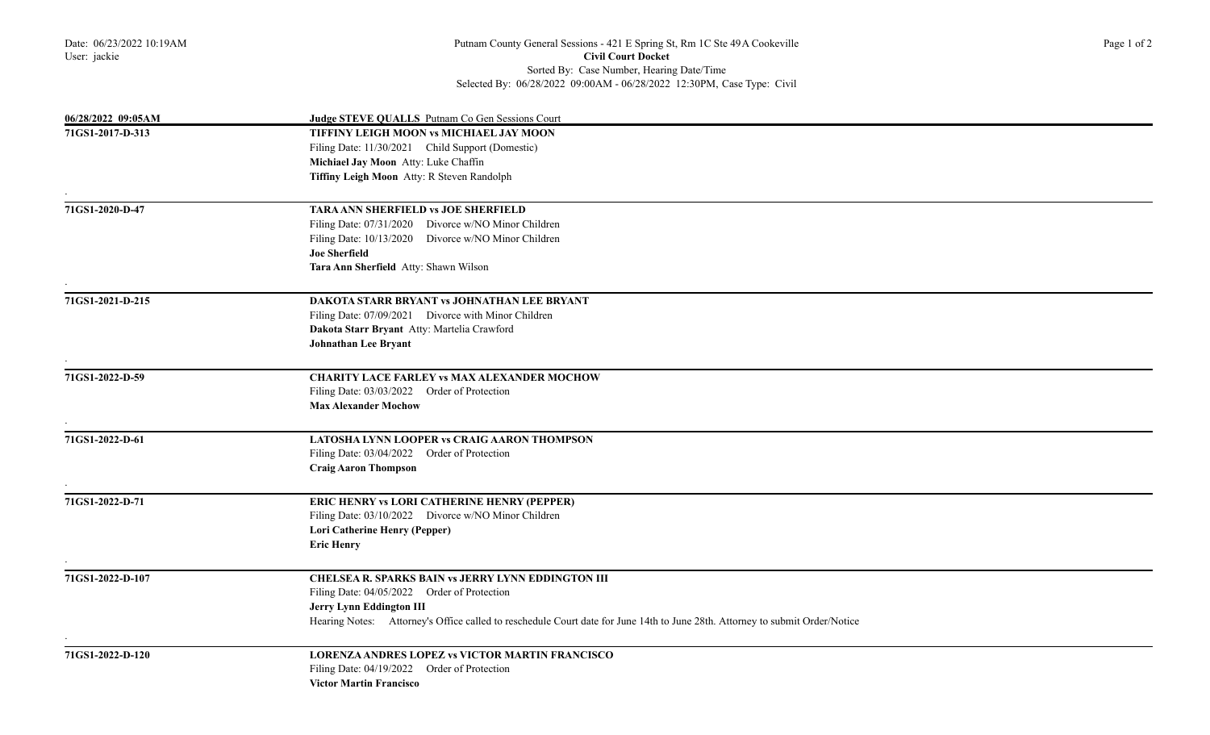| 06/28/2022 09:05AM | Judge STEVE QUALLS Putnam Co Gen Sessions Court                                                                              |
|--------------------|------------------------------------------------------------------------------------------------------------------------------|
| 71GS1-2017-D-313   | TIFFINY LEIGH MOON vs MICHIAEL JAY MOON                                                                                      |
|                    | Filing Date: 11/30/2021 Child Support (Domestic)                                                                             |
|                    | Michiael Jay Moon Atty: Luke Chaffin                                                                                         |
|                    | Tiffiny Leigh Moon Atty: R Steven Randolph                                                                                   |
|                    |                                                                                                                              |
| 71GS1-2020-D-47    | <b>TARA ANN SHERFIELD vs JOE SHERFIELD</b>                                                                                   |
|                    | Filing Date: 07/31/2020 Divorce w/NO Minor Children                                                                          |
|                    | Filing Date: 10/13/2020 Divorce w/NO Minor Children                                                                          |
|                    | <b>Joe Sherfield</b>                                                                                                         |
|                    | Tara Ann Sherfield Atty: Shawn Wilson                                                                                        |
| 71GS1-2021-D-215   | DAKOTA STARR BRYANT vs JOHNATHAN LEE BRYANT                                                                                  |
|                    | Filing Date: 07/09/2021 Divorce with Minor Children                                                                          |
|                    | Dakota Starr Bryant Atty: Martelia Crawford                                                                                  |
|                    | Johnathan Lee Bryant                                                                                                         |
|                    |                                                                                                                              |
| 71GS1-2022-D-59    | <b>CHARITY LACE FARLEY vs MAX ALEXANDER MOCHOW</b>                                                                           |
|                    | Filing Date: 03/03/2022 Order of Protection                                                                                  |
|                    | <b>Max Alexander Mochow</b>                                                                                                  |
| 71GS1-2022-D-61    | LATOSHA LYNN LOOPER vs CRAIG AARON THOMPSON                                                                                  |
|                    | Filing Date: 03/04/2022 Order of Protection                                                                                  |
|                    | <b>Craig Aaron Thompson</b>                                                                                                  |
|                    |                                                                                                                              |
| 71GS1-2022-D-71    | ERIC HENRY vs LORI CATHERINE HENRY (PEPPER)                                                                                  |
|                    | Filing Date: 03/10/2022 Divorce w/NO Minor Children                                                                          |
|                    | Lori Catherine Henry (Pepper)                                                                                                |
|                    | <b>Eric Henry</b>                                                                                                            |
| 71GS1-2022-D-107   | CHELSEA R. SPARKS BAIN vs JERRY LYNN EDDINGTON III                                                                           |
|                    | Filing Date: 04/05/2022 Order of Protection                                                                                  |
|                    | Jerry Lynn Eddington III                                                                                                     |
|                    | Hearing Notes: Attorney's Office called to reschedule Court date for June 14th to June 28th. Attorney to submit Order/Notice |
|                    |                                                                                                                              |
| 71GS1-2022-D-120   | <b>LORENZA ANDRES LOPEZ vs VICTOR MARTIN FRANCISCO</b>                                                                       |
|                    | Filing Date: 04/19/2022 Order of Protection                                                                                  |
|                    | <b>Victor Martin Francisco</b>                                                                                               |
|                    |                                                                                                                              |